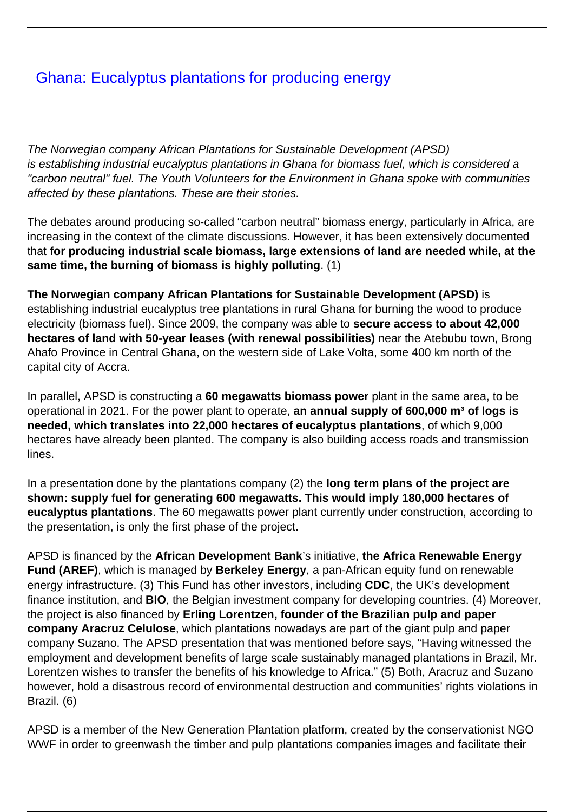## **[Ghana: Eucalyptus plantations for producing energy](/bulletin-articles/ghana-eucalyptus-plantations-for-producing-energy)**

The Norwegian company African Plantations for Sustainable Development (APSD) is establishing industrial eucalyptus plantations in Ghana for biomass fuel, which is considered a "carbon neutral" fuel. The Youth Volunteers for the Environment in Ghana spoke with communities affected by these plantations. These are their stories.

The debates around producing so-called "carbon neutral" biomass energy, particularly in Africa, are increasing in the context of the climate discussions. However, it has been extensively documented that **for producing industrial scale biomass, large extensions of land are needed while, at the same time, the burning of biomass is highly polluting**. (1)

**The Norwegian company African Plantations for Sustainable Development (APSD)** is establishing industrial eucalyptus tree plantations in rural Ghana for burning the wood to produce electricity (biomass fuel). Since 2009, the company was able to **secure access to about 42,000 hectares of land with 50-year leases (with renewal possibilities)** near the Atebubu town, Brong Ahafo Province in Central Ghana, on the western side of Lake Volta, some 400 km north of the capital city of Accra.

In parallel, APSD is constructing a **60 megawatts biomass power** plant in the same area, to be operational in 2021. For the power plant to operate, **an annual supply of 600,000 m<sup>3</sup> of logs is needed, which translates into 22,000 hectares of eucalyptus plantations**, of which 9,000 hectares have already been planted. The company is also building access roads and transmission lines.

In a presentation done by the plantations company (2) the **long term plans of the project are shown: supply fuel for generating 600 megawatts. This would imply 180,000 hectares of eucalyptus plantations**. The 60 megawatts power plant currently under construction, according to the presentation, is only the first phase of the project.

APSD is financed by the **African Development Bank**'s initiative, **the Africa Renewable Energy Fund (AREF)**, which is managed by **Berkeley Energy**, a pan-African equity fund on renewable energy infrastructure. (3) This Fund has other investors, including **CDC**, the UK's development finance institution, and **BIO**, the Belgian investment company for developing countries. (4) Moreover, the project is also financed by **Erling Lorentzen, founder of the Brazilian pulp and paper company Aracruz Celulose**, which plantations nowadays are part of the giant pulp and paper company Suzano. The APSD presentation that was mentioned before says, "Having witnessed the employment and development benefits of large scale sustainably managed plantations in Brazil, Mr. Lorentzen wishes to transfer the benefits of his knowledge to Africa." (5) Both, Aracruz and Suzano however, hold a disastrous record of environmental destruction and communities' rights violations in Brazil. (6)

APSD is a member of the New Generation Plantation platform, created by the conservationist NGO WWF in order to greenwash the timber and pulp plantations companies images and facilitate their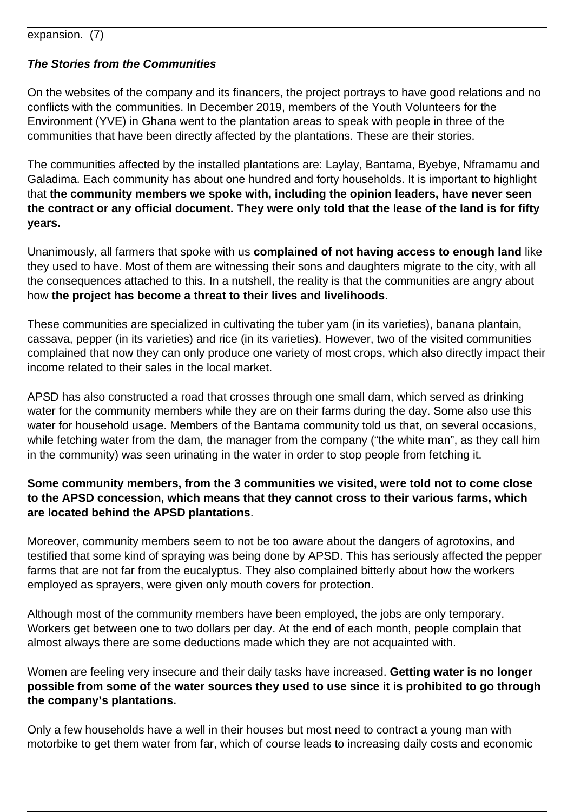expansion. (7)

## **The Stories from the Communities**

On the websites of the company and its financers, the project portrays to have good relations and no conflicts with the communities. In December 2019, members of the Youth Volunteers for the Environment (YVE) in Ghana went to the plantation areas to speak with people in three of the communities that have been directly affected by the plantations. These are their stories.

The communities affected by the installed plantations are: Laylay, Bantama, Byebye, Nframamu and Galadima. Each community has about one hundred and forty households. It is important to highlight that **the community members we spoke with, including the opinion leaders, have never seen the contract or any official document. They were only told that the lease of the land is for fifty years.**

Unanimously, all farmers that spoke with us **complained of not having access to enough land** like they used to have. Most of them are witnessing their sons and daughters migrate to the city, with all the consequences attached to this. In a nutshell, the reality is that the communities are angry about how **the project has become a threat to their lives and livelihoods**.

These communities are specialized in cultivating the tuber yam (in its varieties), banana plantain, cassava, pepper (in its varieties) and rice (in its varieties). However, two of the visited communities complained that now they can only produce one variety of most crops, which also directly impact their income related to their sales in the local market.

APSD has also constructed a road that crosses through one small dam, which served as drinking water for the community members while they are on their farms during the day. Some also use this water for household usage. Members of the Bantama community told us that, on several occasions, while fetching water from the dam, the manager from the company ("the white man", as they call him in the community) was seen urinating in the water in order to stop people from fetching it.

## **Some community members, from the 3 communities we visited, were told not to come close to the APSD concession, which means that they cannot cross to their various farms, which are located behind the APSD plantations**.

Moreover, community members seem to not be too aware about the dangers of agrotoxins, and testified that some kind of spraying was being done by APSD. This has seriously affected the pepper farms that are not far from the eucalyptus. They also complained bitterly about how the workers employed as sprayers, were given only mouth covers for protection.

Although most of the community members have been employed, the jobs are only temporary. Workers get between one to two dollars per day. At the end of each month, people complain that almost always there are some deductions made which they are not acquainted with.

Women are feeling very insecure and their daily tasks have increased. **Getting water is no longer possible from some of the water sources they used to use since it is prohibited to go through the company's plantations.**

Only a few households have a well in their houses but most need to contract a young man with motorbike to get them water from far, which of course leads to increasing daily costs and economic